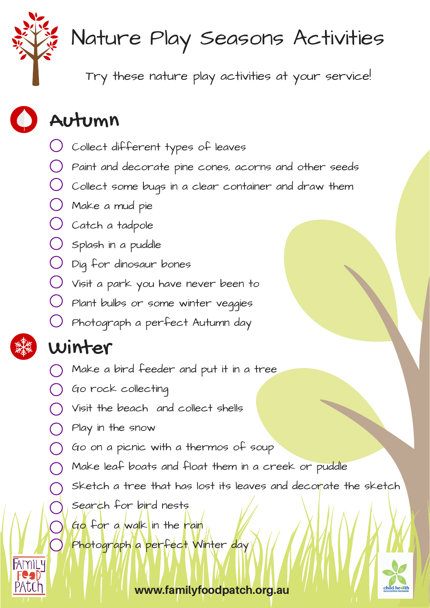

## Nature Play Seasons Activities

Try these nature play activities at your service!

### Autumn

- Collect different types of leaves
- Paint and decorate pine cones, acorns and other seeds
- Collect some bugs in a clear container and draw them
- Make a mud pie
- $\bigcup$  Catch a tadpole
- Splash in a puddle
- Dig for dinosaur bones
- Visit a park you have never been to
- Plant bulbs or some winter veggies
- Photograph a perfect Autumn day

#### Winter

- Make a bird feeder and put it in a tree
- Go rock collecting
- Visit the beach and collect shells
- Play in the snow
- Go on a picnic with a thermos of soup
- Make leaf boats and float them in a creek or puddle
	- Sketch a tree that has lost its leaves and decorate the sketch
		- Search for bird nests
		- Go for a walk in the rain

Photograph a perfect Winter day